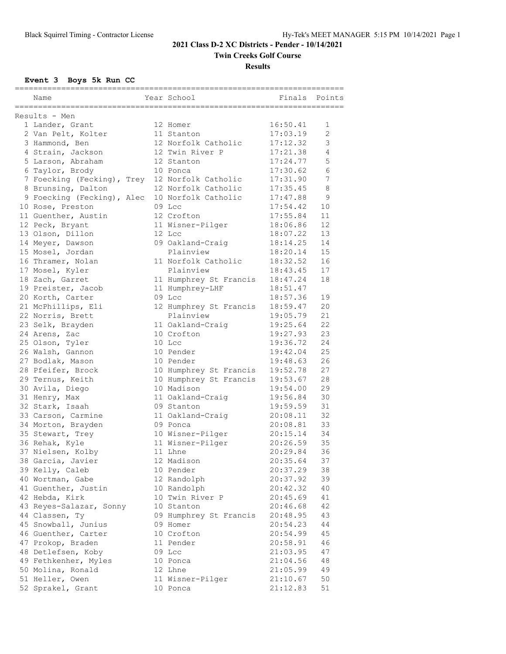**Twin Creeks Golf Course**

#### **Results**

**Event 3 Boys 5k Run CC**

|                                                |                           | =========================== |        |
|------------------------------------------------|---------------------------|-----------------------------|--------|
| Name                                           | Year School               | Finals                      | Points |
| Results - Men                                  |                           |                             |        |
| 1 Lander, Grant                                | 12 Homer                  | 16:50.41                    | 1      |
| 2 Van Pelt, Kolter                             | 11 Stanton                | 17:03.19                    | 2      |
| 3 Hammond, Ben                                 | 12 Norfolk Catholic       | 17:12.32                    | 3      |
| 4 Strain, Jackson                              | 12 Twin River P           | 17:21.38                    | 4      |
| 5 Larson, Abraham                              | 12 Stanton                | 17:24.77                    | 5      |
| 6 Taylor, Brody                                | 10 Ponca                  | 17:30.62                    | 6      |
| 7 Foecking (Fecking), Trey 12 Norfolk Catholic |                           | 17:31.90                    | 7      |
| 8 Brunsing, Dalton                             | 12 Norfolk Catholic       | 17:35.45                    | 8      |
| 9 Foecking (Fecking), Alec                     | 10 Norfolk Catholic       | 17:47.88                    | 9      |
| 10 Rose, Preston                               | 09 Lcc                    | 17:54.42                    | $10$   |
| 11 Guenther, Austin                            | 12 Crofton                | 17:55.84                    | 11     |
|                                                | 11 Wisner-Pilger          | 18:06.86                    | 12     |
| 12 Peck, Bryant<br>13 Olson, Dillon            | 12 Lcc                    | 18:07.22                    | 13     |
| 14 Meyer, Dawson                               | 09 Oakland-Craig          | 18:14.25                    | 14     |
| 15 Mosel, Jordan                               | Plainview                 | 18:20.14                    | 15     |
| 16 Thramer, Nolan                              | 11 Norfolk Catholic       | 18:32.52                    | 16     |
|                                                | Plainview                 | 18:43.45                    | 17     |
| 17 Mosel, Kyler<br>18 Zach, Garret             |                           |                             | 18     |
| 19 Preister, Jacob                             | 11 Humphrey St Francis    | 18:47.24                    |        |
|                                                | 11 Humphrey-LHF<br>09 Lcc | 18:51.47                    | 19     |
| 20 Korth, Carter                               |                           | 18:57.36                    |        |
| 21 McPhillips, Eli                             | 12 Humphrey St Francis    | 18:59.47                    | 20     |
| 22 Norris, Brett                               | Plainview                 | 19:05.79                    | 21     |
| 23 Selk, Brayden                               | 11 Oakland-Craig          | 19:25.64                    | 22     |
| 24 Arens, Zac                                  | 10 Crofton                | 19:27.93                    | 23     |
| 25 Olson, Tyler                                | 10 Lcc                    | 19:36.72                    | 24     |
| 26 Walsh, Gannon                               | 10 Pender                 | 19:42.04                    | 25     |
| 27 Bodlak, Mason                               | 10 Pender                 | 19:48.63                    | 26     |
| 28 Pfeifer, Brock                              | 10 Humphrey St Francis    | 19:52.78                    | 27     |
| 29 Ternus, Keith                               | 10 Humphrey St Francis    | 19:53.67                    | 28     |
| 30 Avila, Diego                                | 10 Madison                | 19:54.00                    | 29     |
| 31 Henry, Max                                  | 11 Oakland-Craig          | 19:56.84                    | 30     |
| 32 Stark, Isaah                                | 09 Stanton                | 19:59.59                    | 31     |
| 33 Carson, Carmine                             | 11 Oakland-Craig          | 20:08.11                    | 32     |
| 34 Morton, Brayden                             | 09 Ponca                  | 20:08.81                    | 33     |
| 35 Stewart, Trey                               | 10 Wisner-Pilger          | 20:15.14                    | 34     |
| 36 Rehak, Kyle                                 | 11 Wisner-Pilger          | 20:26.59                    | 35     |
| 37 Nielsen, Kolby                              | 11 Lhne                   | 20:29.84                    | 36     |
| 38 Garcia, Javier                              | 12 Madison                | 20:35.64                    | 37     |
| 39 Kelly, Caleb                                | 10 Pender                 | 20:37.29                    | 38     |
| 40 Wortman, Gabe                               | 12 Randolph               | 20:37.92                    | 39     |
| 41 Guenther, Justin                            | 10 Randolph               | 20:42.32                    | 40     |
| 42 Hebda, Kirk                                 | 10 Twin River P           | 20:45.69                    | 41     |
| 43 Reyes-Salazar, Sonny                        | 10 Stanton                | 20:46.68                    | 42     |
| 44 Classen, Ty                                 | 09 Humphrey St Francis    | 20:48.95                    | 43     |
| 45 Snowball, Junius                            | 09 Homer                  | 20:54.23                    | 44     |
| 46 Guenther, Carter                            | 10 Crofton                | 20:54.99                    | 45     |
| 47 Prokop, Braden                              | 11 Pender                 | 20:58.91                    | 46     |
| 48 Detlefsen, Koby                             | 09 Lcc                    | 21:03.95                    | 47     |
| 49 Fethkenher, Myles                           | 10 Ponca                  | 21:04.56                    | 48     |
| 50 Molina, Ronald                              | 12 Lhne                   | 21:05.99                    | 49     |
| 51 Heller, Owen                                | 11 Wisner-Pilger          | 21:10.67                    | 50     |
| 52 Sprakel, Grant                              | 10 Ponca                  | 21:12.83                    | 51     |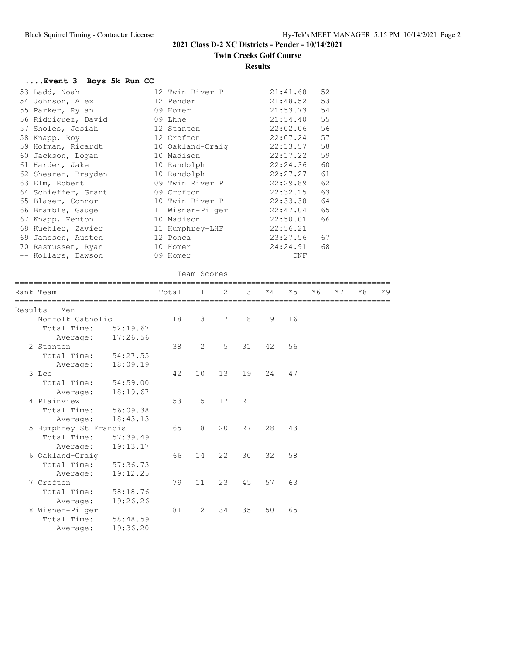# **Twin Creeks Golf Course**

#### **Results**

| Event 3 Boys 5k Run CC |                  |          |    |
|------------------------|------------------|----------|----|
| 53 Ladd, Noah          | 12 Twin River P  | 21:41.68 | 52 |
| 54 Johnson, Alex       | 12 Pender        | 21:48.52 | 53 |
| 55 Parker, Rylan       | 09 Homer         | 21:53.73 | 54 |
| 56 Ridriguez, David    | 09 Lhne          | 21:54.40 | 55 |
| 57 Sholes, Josiah      | 12 Stanton       | 22:02.06 | 56 |
| 58 Knapp, Roy          | 12 Crofton       | 22:07.24 | 57 |
| 59 Hofman, Ricardt     | 10 Oakland-Craig | 22:13.57 | 58 |
| 60 Jackson, Logan      | 10 Madison       | 22:17.22 | 59 |
| 61 Harder, Jake        | 10 Randolph      | 22:24.36 | 60 |
| 62 Shearer, Brayden    | 10 Randolph      | 22:27.27 | 61 |
| 63 Elm, Robert         | 09 Twin River P  | 22:29.89 | 62 |
| 64 Schieffer, Grant    | 09 Crofton       | 22:32.15 | 63 |
| 65 Blaser, Connor      | 10 Twin River P  | 22:33.38 | 64 |
| 66 Bramble, Gauge      | 11 Wisner-Pilger | 22:47.04 | 65 |
| 67 Knapp, Kenton       | 10 Madison       | 22:50.01 | 66 |
| 68 Kuehler, Zavier     | 11 Humphrey-LHF  | 22:56.21 |    |
| 69 Janssen, Austen     | 12 Ponca         | 23:27.56 | 67 |
| 70 Rasmussen, Ryan     | 10 Homer         | 24:24.91 | 68 |
| -- Kollars, Dawson     | 09 Homer         | DNF      |    |

### Team Scores

| Rank Team             | ========== | Total | $\mathbf{1}$      | 2  | $\mathcal{R}$ |    | $\star$ 4 $\star$ 5 | $*6$ | $*7$ | $*8$ | $*9$ |
|-----------------------|------------|-------|-------------------|----|---------------|----|---------------------|------|------|------|------|
| Results - Men         |            |       |                   |    |               |    |                     |      |      |      |      |
| 1 Norfolk Catholic    |            | 18    | 3                 | 7  | 8             | 9  | 16                  |      |      |      |      |
| Total Time:           | 52:19.67   |       |                   |    |               |    |                     |      |      |      |      |
| Average:              | 17:26.56   |       |                   |    |               |    |                     |      |      |      |      |
| 2 Stanton             |            | 38    | $\overline{2}$    | 5  | 31            | 42 | 56                  |      |      |      |      |
| Total Time:           | 54:27.55   |       |                   |    |               |    |                     |      |      |      |      |
| Average:              | 18:09.19   |       |                   |    |               |    |                     |      |      |      |      |
| 3 Lcc                 |            | 42    | 10                | 13 | 19            | 24 | 47                  |      |      |      |      |
| Total Time: 54:59.00  |            |       |                   |    |               |    |                     |      |      |      |      |
| Average:              | 18:19.67   |       |                   |    |               |    |                     |      |      |      |      |
| 4 Plainview           |            | 53    | 15                | 17 | 21            |    |                     |      |      |      |      |
| Total Time: 56:09.38  |            |       |                   |    |               |    |                     |      |      |      |      |
| Average:              | 18:43.13   |       |                   |    |               |    |                     |      |      |      |      |
| 5 Humphrey St Francis |            | 65    | 18                | 20 | 27            | 28 | 43                  |      |      |      |      |
| Total Time:           | 57:39.49   |       |                   |    |               |    |                     |      |      |      |      |
| Average:              | 19:13.17   |       |                   |    |               |    |                     |      |      |      |      |
| 6 Oakland-Craig       |            | 66    | 14                | 22 | 30            | 32 | 58                  |      |      |      |      |
| Total Time: 57:36.73  |            |       |                   |    |               |    |                     |      |      |      |      |
| Average:              | 19:12.25   |       |                   |    |               |    |                     |      |      |      |      |
| 7 Crofton             |            | 79    | 11                | 23 | 45            | 57 | 63                  |      |      |      |      |
| Total Time: 58:18.76  |            |       |                   |    |               |    |                     |      |      |      |      |
| Average:              | 19:26.26   |       |                   |    |               |    |                     |      |      |      |      |
| 8 Wisner-Pilger       |            | 81    | $12 \overline{ }$ | 34 | 35            | 50 | 65                  |      |      |      |      |
| Total Time:           | 58:48.59   |       |                   |    |               |    |                     |      |      |      |      |
| Average:              | 19:36.20   |       |                   |    |               |    |                     |      |      |      |      |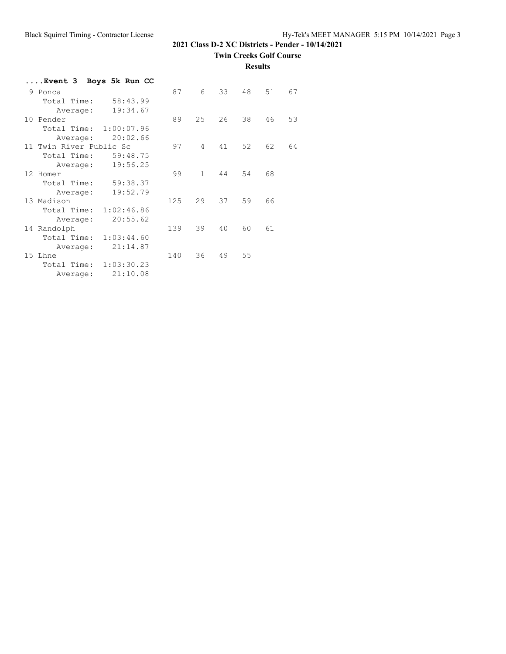**Twin Creeks Golf Course**

**Results**

| Event 3  Boys 5k Run CC   |     |              |    |    |    |    |
|---------------------------|-----|--------------|----|----|----|----|
| 9 Ponca                   | 87  | 6            | 33 | 48 | 51 | 67 |
| 58:43.99<br>Total Time:   |     |              |    |    |    |    |
| 19:34.67<br>Average:      |     |              |    |    |    |    |
| 10 Pender                 | 89  | 25           | 26 | 38 | 46 | 53 |
| 1:00:07.96<br>Total Time: |     |              |    |    |    |    |
| 20:02.66<br>Average:      |     |              |    |    |    |    |
| 11 Twin River Public Sc   | 97  | 4            | 41 | 52 | 62 | 64 |
| 59:48.75<br>Total Time:   |     |              |    |    |    |    |
| 19:56.25<br>Average:      |     |              |    |    |    |    |
| 12 Homer                  | 99  | $\mathbf{1}$ | 44 | 54 | 68 |    |
| 59:38.37<br>Total Time:   |     |              |    |    |    |    |
| 19:52.79<br>Average:      |     |              |    |    |    |    |
| 13 Madison                | 125 | 29           | 37 | 59 | 66 |    |
| Total Time:<br>1:02:46.86 |     |              |    |    |    |    |
| 20:55.62<br>Average:      |     |              |    |    |    |    |
| 14 Randolph               | 139 | 39           | 40 | 60 | 61 |    |
| 1:03:44.60<br>Total Time: |     |              |    |    |    |    |
| 21:14.87<br>Average:      |     |              |    |    |    |    |
| 15 Lhne                   | 140 | 36           | 49 | 55 |    |    |
| 1:03:30.23<br>Total Time: |     |              |    |    |    |    |
| 21:10.08<br>Average:      |     |              |    |    |    |    |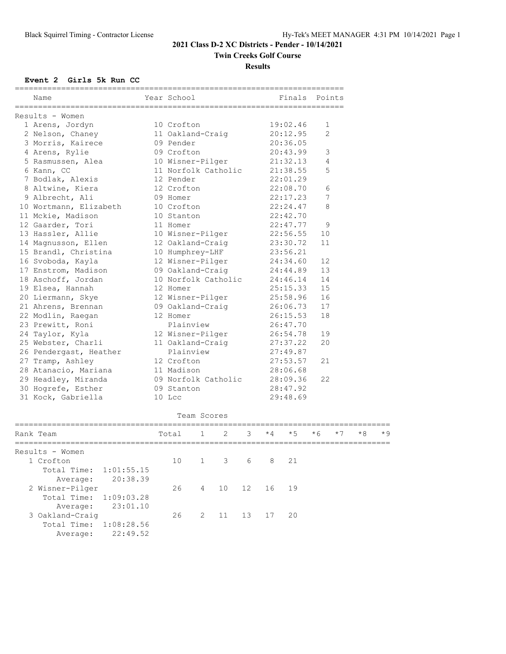### **Twin Creeks Golf Course**

#### **Results**

**Event 2 Girls 5k Run CC**

| Name                   | Year School         |              |   |   |      | Finals   | Points |      |      |  |
|------------------------|---------------------|--------------|---|---|------|----------|--------|------|------|--|
| Results - Women        |                     |              |   |   |      |          |        |      |      |  |
| 1 Arens, Jordyn        | 10 Crofton          |              |   |   |      | 19:02.46 | 1      |      |      |  |
| 2 Nelson, Chaney       | 11 Oakland-Craig    |              |   |   |      | 20:12.95 | 2      |      |      |  |
| 3 Morris, Kairece      | 09 Pender           |              |   |   |      | 20:36.05 |        |      |      |  |
| 4 Arens, Rylie         | 09 Crofton          |              |   |   |      | 20:43.99 | 3      |      |      |  |
| 5 Rasmussen, Alea      | 10 Wisner-Pilger    |              |   |   |      | 21:32.13 | 4      |      |      |  |
| 6 Kann, CC             | 11 Norfolk Catholic |              |   |   |      | 21:38.55 | 5      |      |      |  |
| 7 Bodlak, Alexis       | 12 Pender           |              |   |   |      | 22:01.29 |        |      |      |  |
| 8 Altwine, Kiera       | 12 Crofton          |              |   |   |      | 22:08.70 | 6      |      |      |  |
| 9 Albrecht, Ali        | 09 Homer            |              |   |   |      | 22:17.23 | 7      |      |      |  |
| 10 Wortmann, Elizabeth | 10 Crofton          |              |   |   |      | 22:24.47 | 8      |      |      |  |
| 11 Mckie, Madison      | 10 Stanton          |              |   |   |      | 22:42.70 |        |      |      |  |
| 12 Gaarder, Tori       | 11 Homer            |              |   |   |      | 22:47.77 | 9      |      |      |  |
| 13 Hassler, Allie      | 10 Wisner-Pilger    |              |   |   |      | 22:56.55 | 10     |      |      |  |
| 14 Magnusson, Ellen    | 12 Oakland-Craig    |              |   |   |      | 23:30.72 | 11     |      |      |  |
| 15 Brandl, Christina   | 10 Humphrey-LHF     |              |   |   |      | 23:56.21 |        |      |      |  |
| 16 Svoboda, Kayla      | 12 Wisner-Pilger    |              |   |   |      | 24:34.60 | 12     |      |      |  |
| 17 Enstrom, Madison    | 09 Oakland-Craig    |              |   |   |      | 24:44.89 | 13     |      |      |  |
| 18 Aschoff, Jordan     | 10 Norfolk Catholic |              |   |   |      | 24:46.14 | 14     |      |      |  |
| 19 Elsea, Hannah       | 12 Homer            |              |   |   |      | 25:15.33 | 15     |      |      |  |
| 20 Liermann, Skye      | 12 Wisner-Pilger    |              |   |   |      | 25:58.96 | 16     |      |      |  |
| 21 Ahrens, Brennan     | 09 Oakland-Craig    |              |   |   |      | 26:06.73 | 17     |      |      |  |
| 22 Modlin, Raegan      | 12 Homer            |              |   |   |      | 26:15.53 | 18     |      |      |  |
| 23 Prewitt, Roni       | Plainview           |              |   |   |      | 26:47.70 |        |      |      |  |
| 24 Taylor, Kyla        | 12 Wisner-Pilger    |              |   |   |      | 26:54.78 | 19     |      |      |  |
| 25 Webster, Charli     | 11 Oakland-Craig    |              |   |   |      | 27:37.22 | 20     |      |      |  |
| 26 Pendergast, Heather | Plainview           |              |   |   |      | 27:49.87 |        |      |      |  |
| 27 Tramp, Ashley       | 12 Crofton          |              |   |   |      | 27:53.57 | 21     |      |      |  |
| 28 Atanacio, Mariana   | 11 Madison          |              |   |   |      | 28:06.68 |        |      |      |  |
| 29 Headley, Miranda    | 09 Norfolk Catholic |              |   |   |      | 28:09.36 | 22     |      |      |  |
| 30 Hogrefe, Esther     | 09 Stanton          |              |   |   |      | 28:47.92 |        |      |      |  |
| 31 Kock, Gabriella     | 10 Lcc              |              |   |   |      | 29:48.69 |        |      |      |  |
|                        |                     | Team Scores  |   |   |      |          |        |      |      |  |
| Rank Team              | Total               | $\mathbf{1}$ | 2 | 3 | $*4$ | $*5$     | $*6$   | $*7$ | $*8$ |  |

| Results - Women        |          |  |                  |  |  |  |
|------------------------|----------|--|------------------|--|--|--|
| 1 Crofton              |          |  | 10 1 3 6 8 21    |  |  |  |
| Total Time: 1:01:55.15 |          |  |                  |  |  |  |
| Average: 20:38.39      |          |  |                  |  |  |  |
| 2 Wisner-Pilger        |          |  | 26 4 10 12 16 19 |  |  |  |
| Total Time: 1:09:03.28 |          |  |                  |  |  |  |
| Average: 23:01.10      |          |  |                  |  |  |  |
| 3 Oakland-Craiq        |          |  | 26 2 11 13 17 20 |  |  |  |
| Total Time: 1:08:28.56 |          |  |                  |  |  |  |
| Average:               | 22:49.52 |  |                  |  |  |  |